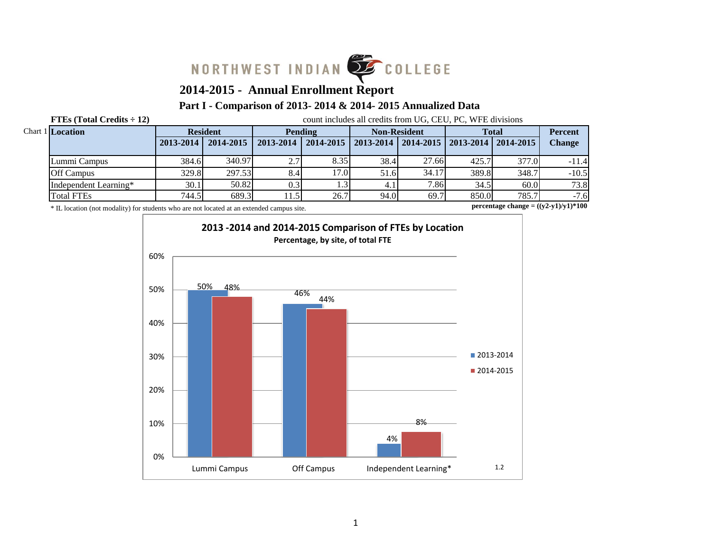

# **2014-2015 - Annual Enrollment Report**

## **Part I - Comparison of 2013- 2014 & 2014- 2015 Annualized Data**

**FTEs (Total Credits**  $\div$  **12)** count includes all credits from UG, CEU, PC, WFE divisions

| <b>Chart 1 Location</b> |           | <b>Resident</b> |                           | Pending |      | <b>Non-Resident</b>                           |       | <b>Total</b> |               |
|-------------------------|-----------|-----------------|---------------------------|---------|------|-----------------------------------------------|-------|--------------|---------------|
|                         | 2013-2014 | 2014-2015       | $2013 - 2014$   2014-2015 |         |      | 2013-2014   2014-2015   2013-2014   2014-2015 |       |              | <b>Change</b> |
| Lummi Campus            | 384.6     | 340.97          | 2.71                      | 8.35    | 38.4 | 27.66                                         | 425.7 | 377.0        | $-11.4$       |
| <b>Off Campus</b>       | 329.8     | 297.53          | 8.4                       | 17.0    | 51.6 | 34.17                                         | 389.8 | 348.7        | $-10.5$       |
| Independent Learning*   | 30.1      | 50.82           | 0.31                      | 1.3     |      | 7.86                                          | 34.5  | 60.0         | 73.8          |
| <b>Total FTEs</b>       | 744.5     | 689.3           | 11.51                     | 26.7    | 94.0 | 69.7                                          | 850.0 | 785.7        | $-7.6$        |

\* IL location (not modality) for students who are not located at an extended campus site.

**percentage change = ((y2-y1)/y1)\*100**

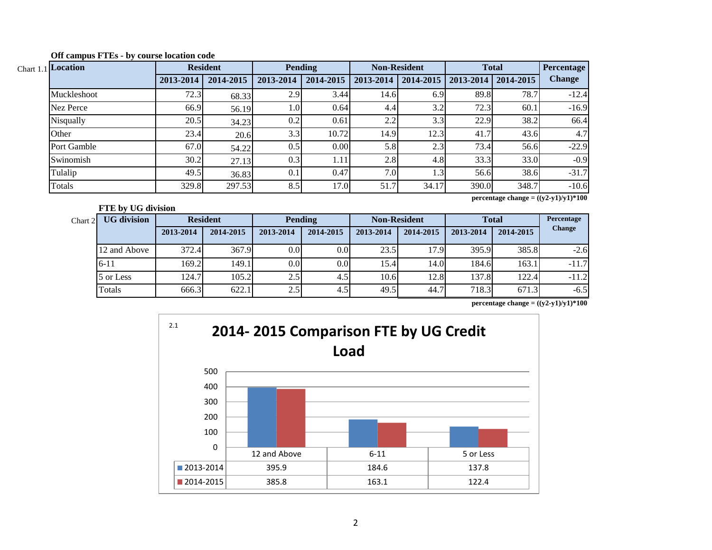| Chart 1.1 Location |           | <b>Resident</b> |           | Pending   |           | <b>Non-Resident</b> |                           | <b>Total</b> | <b>Percentage</b> |
|--------------------|-----------|-----------------|-----------|-----------|-----------|---------------------|---------------------------|--------------|-------------------|
|                    | 2013-2014 | 2014-2015       | 2013-2014 | 2014-2015 | 2013-2014 | $2014 - 2015$       | $2013 - 2014$   2014-2015 |              | <b>Change</b>     |
| Muckleshoot        | 72.3      | 68.33           | 2.9       | 3.44      | 14.6      | 6.9                 | 89.8                      | 78.7         | $-12.4$           |
| Nez Perce          | 66.9      | 56.19           | 1.0       | 0.64      | 4.4       | 3.2                 | 72.3                      | 60.1         | $-16.9$           |
| Nisqually          | 20.5      | 34.23           | 0.2       | 0.61      | 2.2       | 3.3                 | 22.9                      | 38.2         | 66.4              |
| Other              | 23.4      | 20.6            | 3.3       | 10.72     | 14.9      | 12.3                | 41.7                      | 43.6         | 4.7               |
| Port Gamble        | 67.0      | 54.22           | 0.5       | 0.00      | 5.8       | 2.3                 | 73.4                      | 56.6         | $-22.9$           |
| Swinomish          | 30.2      | 27.13           | 0.3       | 1.11'     | 2.8       | 4.8                 | 33.3                      | 33.0         | $-0.9$            |
| Tulalip            | 49.5      | 36.83           | 0.1       | 0.47      | 7.0       | 1.3                 | 56.6                      | 38.6         | $-31.7$           |
| Totals             | 329.8     | 297.53          | 8.5       | 17.0      | 51.7      | 34.17               | 390.0                     | 348.7        | $-10.6$           |

**Off campus FTEs - by course location code**

**percentage change = ((y2-y1)/y1)\*100**

|         | FTE by UG division |                 |           |                  |                  |                     |           |              |           |               |  |
|---------|--------------------|-----------------|-----------|------------------|------------------|---------------------|-----------|--------------|-----------|---------------|--|
| Chart 2 | <b>UG</b> division | <b>Resident</b> |           | <b>Pending</b>   |                  | <b>Non-Resident</b> |           | <b>Total</b> |           | Percentage    |  |
|         |                    | 2013-2014       | 2014-2015 | 2013-2014        | 2014-2015        | 2013-2014           | 2014-2015 | 2013-2014    | 2014-2015 | <b>Change</b> |  |
|         | 12 and Above       | 372.4           | 367.9     | 0.0 <sub>l</sub> | 0.0 <sub>l</sub> | 23.5                | 17.9      | 395.9        | 385.8     | $-2.6$        |  |
|         | $6 - 11$           | 169.2           | 149.1     | 0.0 <sub>l</sub> | 0.0              | 15.4                | 14.0      | 184.6        | 163.1     | $-11.7$       |  |
|         | 5 or Less          | 124.7           | 105.2     | 2.5              | 4.5              | 10.6                | 12.8      | 137.8        | 122.4     | $-11.2$       |  |
|         | Totals             | 666.3           | 622.1     | 2.5              | 4.5              | 49.5                | 44.7      | 718.3        | 671.3     | $-6.5$        |  |

**percentage change =**  $((y2-y1)/y1)*100$ 

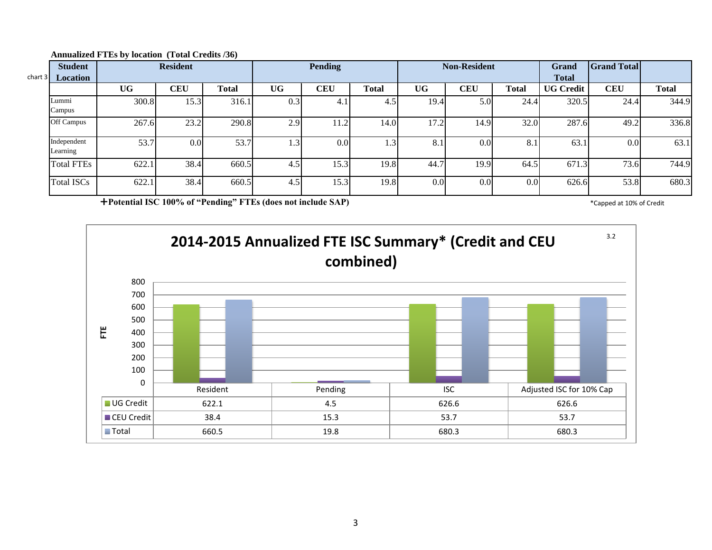| char <sub>1</sub> 3 | <b>Student</b><br><b>Location</b> |           | <b>Resident</b> |       |     | Pending          |              |      | <b>Non-Resident</b> |                  | Grand<br><b>Total</b> | <b>Grand Total</b> |              |
|---------------------|-----------------------------------|-----------|-----------------|-------|-----|------------------|--------------|------|---------------------|------------------|-----------------------|--------------------|--------------|
|                     |                                   | <b>UG</b> | <b>CEU</b>      | Total | UG  | <b>CEU</b>       | <b>Total</b> | UG   | <b>CEU</b>          | <b>Total</b>     | <b>UG Credit</b>      | <b>CEU</b>         | <b>Total</b> |
|                     | Lummi<br>Campus                   | 300.8     | 15.3            | 316.1 | 0.3 | 4.1              | 4.5          | 19.4 | 5.0                 | 24.4             | 320.5                 | 24.4               | 344.9        |
|                     | Off Campus                        | 267.6     | 23.2            | 290.8 | 2.9 | 11.2             | 14.0         | 17.2 | 14.9                | 32.0             | 287.6                 | 49.2               | 336.8        |
|                     | Independent<br>Learning           | 53.7      | 0.0             | 53.7  | 1.3 | 0.0 <sub>l</sub> | 1.31         | 8.1  | 0.01                | 8.1              | 63.1                  | 0.0                | 63.1         |
|                     | <b>Total FTEs</b>                 | 622.1     | 38.4            | 660.5 | 4.5 | 15.3             | 19.8         | 44.7 | 19.9                | 64.5             | 671.3                 | 73.6               | 744.9        |
|                     | <b>Total ISCs</b>                 | 622.1     | 38.4            | 660.5 | 4.5 | 15.3             | 19.8         | 0.0  | 0.01                | 0.0 <sub>l</sub> | 626.6                 | 53.8               | 680.3        |

#### **Annualized FTEs by location (Total Credits /36)**

**Potential ISC 100% of "Pending" FTEs (does not include SAP)** \* Capped at 10% of Credit \* Capped at 10% of Credit

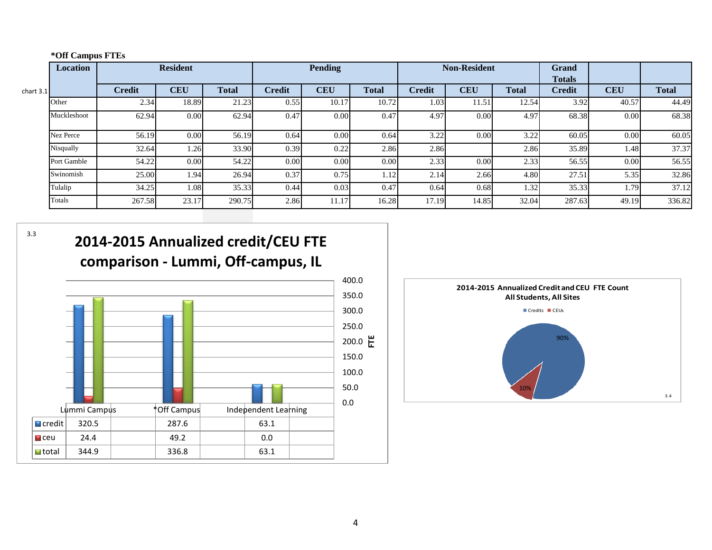|  | *Off Campus FTEs |  |
|--|------------------|--|
|--|------------------|--|

|                   | Location    |               | <b>Resident</b> |              |               | <b>Pending</b> |              |               | <b>Non-Resident</b> |              | Grand<br><b>Totals</b> |            |              |
|-------------------|-------------|---------------|-----------------|--------------|---------------|----------------|--------------|---------------|---------------------|--------------|------------------------|------------|--------------|
| chart 3.1 $\vert$ |             | <b>Credit</b> | <b>CEU</b>      | <b>Total</b> | <b>Credit</b> | <b>CEU</b>     | <b>Total</b> | <b>Credit</b> | <b>CEU</b>          | <b>Total</b> | <b>Credit</b>          | <b>CEU</b> | <b>Total</b> |
|                   | Other       | 2.34          | 18.89           | 21.23        | 0.55          | 10.17          | 10.72        | 1.03          | 11.51               | 12.54        | 3.92                   | 40.57      | 44.49        |
|                   | Muckleshoot | 62.94         | 0.00            | 62.94        | 0.47          | 0.00           | 0.47         | 4.97          | 0.00                | 4.97         | 68.38                  | 0.00       | 68.38        |
|                   | Nez Perce   | 56.19         | 0.00            | 56.19        | 0.64          | 0.00           | 0.64         | 3.22          | 0.00                | 3.22         | 60.05                  | 0.00       | 60.05        |
|                   | Nisqually   | 32.64         | 1.26            | 33.90        | 0.39          | 0.22           | 2.86         | 2.86          |                     | 2.86         | 35.89                  | 1.48       | 37.37        |
|                   | Port Gamble | 54.22         | 0.00            | 54.22        | 0.00          | 0.00           | 0.00         | 2.33          | 0.00                | 2.33         | 56.55                  | 0.00       | 56.55        |
|                   | Swinomish   | 25.00         | 1.94            | 26.94        | 0.37          | 0.75           | 1.12         | 2.14          | 2.66                | 4.80         | 27.51                  | 5.35       | 32.86        |
|                   | Tulalip     | 34.25         | 1.08            | 35.33        | 0.44          | 0.03           | 0.47         | 0.64          | 0.68                | 1.32         | 35.33                  | 1.79       | 37.12        |
|                   | Totals      | 267.58        | 23.17           | 290.75       | 2.86          | 11.17          | 16.28        | 17.19         | 14.85               | 32.04        | 287.63                 | 49.19      | 336.82       |

3.3





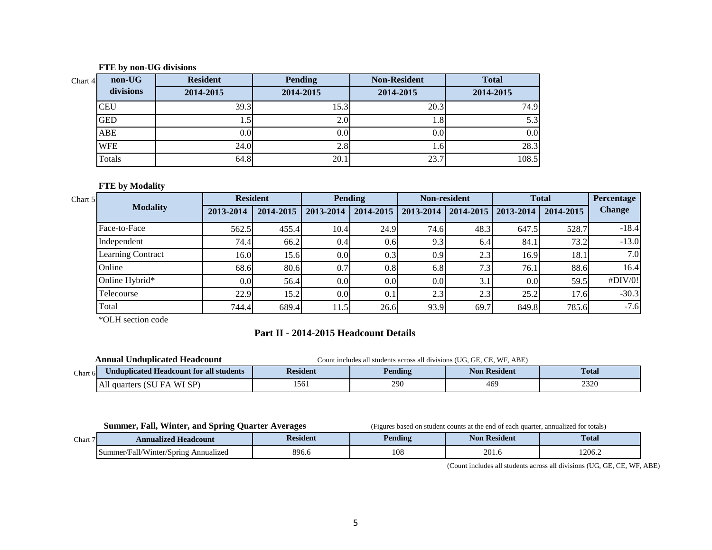#### **FTE by non-UG divisions**

| Chart4 | non-UG     | <b>Resident</b>  | <b>Pending</b> | <b>Non-Resident</b> | <b>Total</b> |
|--------|------------|------------------|----------------|---------------------|--------------|
|        | divisions  | 2014-2015        | 2014-2015      | 2014-2015           | 2014-2015    |
|        | <b>CEU</b> | 39.3             | 15.3           | 20.3                | 74.9         |
|        | <b>GED</b> |                  | 2.0            | 1.8                 | 5.3          |
|        | ABE        | 0.0 <sub>l</sub> | 0.0            | 0.0                 | 0.0          |
|        | <b>WFE</b> | 24.0             | 2.8            | 1.01                | 28.3         |
|        | Totals     | 64.8             | 20.1           | 23.7                | 108.5        |

### **FTE by Modality**

| Chart 5 |                          | <b>Resident</b> |           |                  | <b>Pending</b> |                  | <b>Non-resident</b>               |       | <b>Total</b> | Percentage    |
|---------|--------------------------|-----------------|-----------|------------------|----------------|------------------|-----------------------------------|-------|--------------|---------------|
|         | <b>Modality</b>          | 2013-2014       | 2014-2015 | 2013-2014        | 2014-2015      |                  | 2013-2014   2014-2015   2013-2014 |       | 2014-2015    | <b>Change</b> |
|         | Face-to-Face             | 562.5           | 455.4     | 10.4             | 24.9           | 74.6             | 48.3                              | 647.5 | 528.7        | $-18.4$       |
|         | Independent              | 74.4            | 66.2      | 0.4              | 0.6            | 9.3              | 6.4                               | 84.1  | 73.2         | $-13.0$       |
|         | <b>Learning Contract</b> | 16.0            | 15.6      | 0.0              | 0.3            | 0.9              | 2.3                               | 16.9  | 18.1         | 7.0           |
|         | Online                   | 68.6            | 80.6      | 0.7              | 0.8            | 6.8              | 7.3 <sub>1</sub>                  | 76.1  | 88.6         | 16.4          |
|         | Online Hybrid*           | 0.0             | 56.4      | 0.0              | 0.0            | 0.0 <sub>l</sub> | 3.1                               | 0.0   | 59.5         | #DIV/0!       |
|         | Telecourse               | 22.9            | 15.2      | 0.0 <sub>l</sub> |                | 2.3              | 2.3                               | 25.2  | 17.6         | $-30.3$       |
|         | Total                    | 744.4           | 689.4     | 11.5'            | 26.6           | 93.9             | 69.7                              | 849.8 | 785.6        | $-7.6$        |

\*OLH section code

# **Part II - 2014-2015 Headcount Details**

|          | Annual Unduplicated Headcount           | ncludes all students across all divisions (UG, GE, CE, WF, ABE)<br>Count in |         |                     |              |  |  |  |
|----------|-----------------------------------------|-----------------------------------------------------------------------------|---------|---------------------|--------------|--|--|--|
| Chart 61 | Jnduplicated Headcount for all students | Resident                                                                    | Pending | <b>Non Resident</b> | <b>Total</b> |  |  |  |
|          | All quarters (SU<br>\ WI SP)<br>FA      | 1561                                                                        | 290     | 469                 | 2320         |  |  |  |

**Summer, Fall, Winter, and Spring Quarter Averages** (Figures based on student counts at the end of each quarter, annualized for totals)

| Chart | <b>Annualized Headcount</b>                      | Resident | Pending                | Resident<br>Noi       | <b>Total</b> |
|-------|--------------------------------------------------|----------|------------------------|-----------------------|--------------|
|       | ner/Fall/Winter/Spring<br>Annualized<br>Summer/F | 896.u    | 10 <sub>5</sub><br>100 | $20^{\circ}$<br>201.0 | 1206.2       |

(Count includes all students across all divisions (UG, GE, CE, WF, ABE)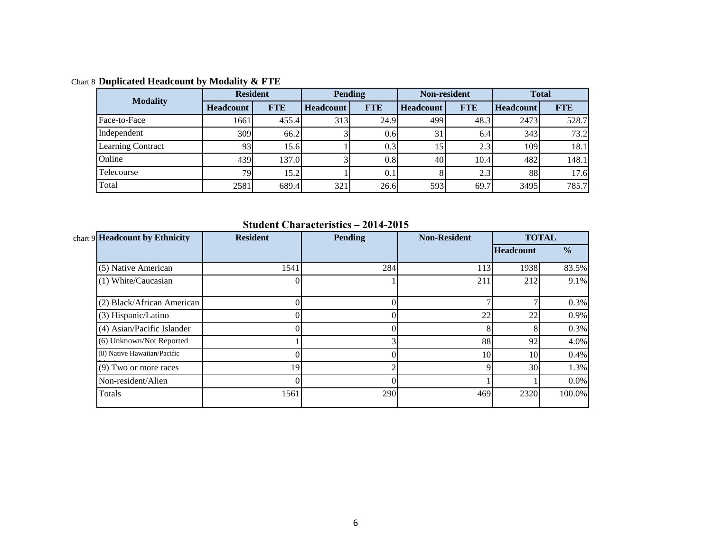Chart 8 **Duplicated Headcount by Modality & FTE**

| <b>Modality</b>          | <b>Resident</b>  |            |                  | <b>Pending</b> | Non-resident     |            | <b>Total</b>     |            |
|--------------------------|------------------|------------|------------------|----------------|------------------|------------|------------------|------------|
|                          | <b>Headcount</b> | <b>FTE</b> | <b>Headcount</b> | <b>FTE</b>     | <b>Headcount</b> | <b>FTE</b> | <b>Headcount</b> | <b>FTE</b> |
| Face-to-Face             | 1661             | 455.4      | 313              | 24.9           | 499              | 48.3       | 2473             | 528.7      |
| Independent              | 309              | 66.2       |                  | 0.6            | 31               | 6.4        | 343              | 73.2       |
| <b>Learning Contract</b> | 93               | 15.6       |                  | 0.3            | 15               | 2.3        | 109              | 18.1       |
| Online                   | 439              | 137.0      |                  | 0.8            | 40               | 10.4       | 482              | 148.1      |
| Telecourse               | 791              | 15.2       |                  | 0.1            |                  | 2.3        | 88               | 17.6       |
| Total                    | 2581             | 689.4      | 321              | 26.6           | 593              | 69.7       | 3495             | 785.7      |

**Student Characteristics – 2014-2015**

| chart 9 Headcount by Ethnicity | <b>Resident</b> | <b>Pending</b> | <b>Non-Resident</b> |                  | <b>TOTAL</b>  |
|--------------------------------|-----------------|----------------|---------------------|------------------|---------------|
|                                |                 |                |                     | <b>Headcount</b> | $\frac{0}{0}$ |
| (5) Native American            | 1541            | 284            | 113                 | 1938             | 83.5%         |
| (1) White/Caucasian            |                 |                | 211                 | 212              | 9.1%          |
| (2) Black/African American     |                 |                | Ξ                   |                  | 0.3%          |
| (3) Hispanic/Latino            |                 |                | 22                  | 22               | 0.9%          |
| (4) Asian/Pacific Islander     |                 |                |                     |                  | 0.3%          |
| (6) Unknown/Not Reported       |                 |                | 88                  | 92               | 4.0%          |
| (8) Native Hawaiian/Pacific    |                 |                | 10                  | 10 <sup>1</sup>  | 0.4%          |
| $(9)$ Two or more races        | 19              |                | 9                   | 30 <sup>1</sup>  | 1.3%          |
| Non-resident/Alien             |                 |                |                     |                  | 0.0%          |
| Totals                         | 1561            | 290            | 469                 | 2320             | 100.0%        |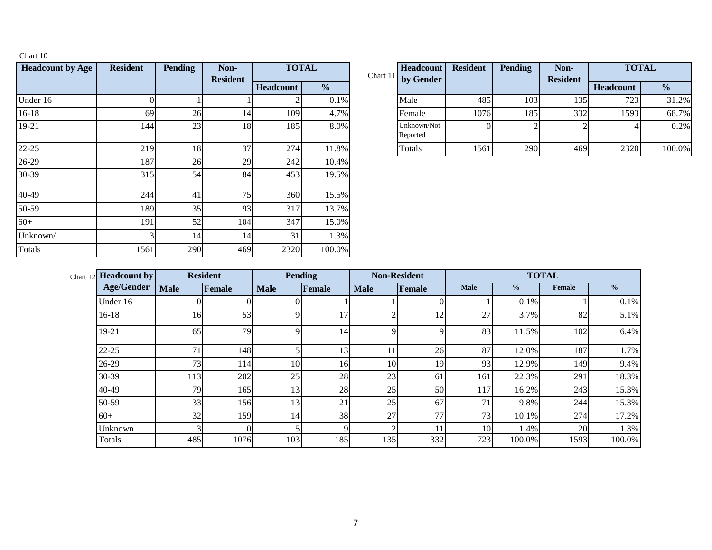| <b>Headcount by Age</b> | <b>Resident</b> | <b>Pending</b> | Non-<br><b>Resident</b> |           | <b>TOTAL</b>  | Chart 11 | <b>Headcount</b><br>by Gender |
|-------------------------|-----------------|----------------|-------------------------|-----------|---------------|----------|-------------------------------|
|                         |                 |                |                         | Headcount | $\frac{6}{6}$ |          |                               |
| Under 16                | 0               |                |                         |           | 0.1%          |          | Male                          |
| $16-18$                 | 69              | 26             | 14                      | 109       | 4.7%          |          | Female                        |
| 19-21                   | 144             | 23             | 18                      | 185       | 8.0%          |          | Unknown/Not<br>Reported       |
| 22-25                   | 219             | 18             | 37                      | 274       | 11.8%         |          | Totals                        |
| 26-29                   | 187             | 26             | 29                      | 242       | 10.4%         |          |                               |
| 30-39                   | 315             | 54             | 84                      | 453       | 19.5%         |          |                               |
| 40-49                   | 244             | 41             | 75                      | 360       | 15.5%         |          |                               |
| 50-59                   | 189             | 35             | 93                      | 317       | 13.7%         |          |                               |
| $60+$                   | 191             | 52             | 104                     | 347       | 15.0%         |          |                               |
| Unknown/                | 3               | 14             | 14                      | 31        | 1.3%          |          |                               |
| Totals                  | 1561            | 290            | 469                     | 2320      | 100.0%        |          |                               |

Chart 10

|     | <b>Pending</b>  | Non-<br><b>Resident</b> |                  | <b>TOTAL</b>  | Headcount<br>Chart 11 by Gender | <b>Resident</b> | <b>Pending</b> | Non-<br><b>Resident</b> | <b>TOTAL</b> |               |
|-----|-----------------|-------------------------|------------------|---------------|---------------------------------|-----------------|----------------|-------------------------|--------------|---------------|
|     |                 |                         | <b>Headcount</b> | $\frac{1}{2}$ |                                 |                 |                |                         | Headcount    | $\frac{0}{0}$ |
|     |                 |                         |                  | 0.1%          | Male                            | 485             | 103            | 135                     | 723          | 31.2%         |
| 69  | 26 <sub>1</sub> | 14                      | 109              | 4.7%          | Female                          | 1076            | 185            | 332                     | 1593         | 68.7%         |
| 144 | 23 <sub>1</sub> | 18                      | 185              | 8.0%          | Unknown/Not<br>Reported         |                 |                |                         |              | 0.2%          |
| 219 | 18              | 37                      | 274              | 11.8%         | Totals                          | 1561            | 290            | 469                     | 2320         | 100.0%        |

| Chart 12 <b>Headcount by</b> |             | <b>Resident</b> | <b>Pending</b> |        |             | <b>Non-Resident</b> |             | <b>TOTAL</b>  |        |               |  |  |
|------------------------------|-------------|-----------------|----------------|--------|-------------|---------------------|-------------|---------------|--------|---------------|--|--|
| <b>Age/Gender</b>            | <b>Male</b> | Female          | <b>Male</b>    | Female | <b>Male</b> | Female              | <b>Male</b> | $\frac{0}{2}$ | Female | $\frac{6}{6}$ |  |  |
| Under 16                     |             |                 |                |        |             |                     |             | 0.1%          |        | 0.1%          |  |  |
| $16-18$                      | 16          | 53              |                | 17     | ◠           | 12                  | 27          | 3.7%          | 82     | 5.1%          |  |  |
| 19-21                        | 65          | 79              |                | 14     | 9           | Q                   | 83          | 11.5%         | 102    | 6.4%          |  |  |
| $22 - 25$                    | 71          | 148             |                | 13     | 11          | 26                  | 87          | 12.0%         | 187    | 11.7%         |  |  |
| $26-29$                      | 73          | 114             | 10             | 16     | 10          | 19                  | 93          | 12.9%         | 149    | 9.4%          |  |  |
| 30-39                        | 113         | 202             | 25             | 28     | 23          | 61                  | 161         | 22.3%         | 291    | 18.3%         |  |  |
| 40-49                        | 79          | 165             | 13             | 28     | 25          | 50                  | 117         | 16.2%         | 243    | 15.3%         |  |  |
| 50-59                        | 33          | 156             | 13             | 21     | 25          | 67                  | 71          | 9.8%          | 244    | 15.3%         |  |  |
| $60+$                        | 32          | 159             | 14             | 38     | 27          | 77                  | 73          | 10.1%         | 274    | 17.2%         |  |  |
| Unknown                      |             | $\Omega$        |                | Q      | C           |                     | 10          | 1.4%          | 20     | 1.3%          |  |  |
| Totals                       | 485         | 1076            | 103            | 185    | 135         | 332                 | 723         | 100.0%        | 1593   | 100.0%        |  |  |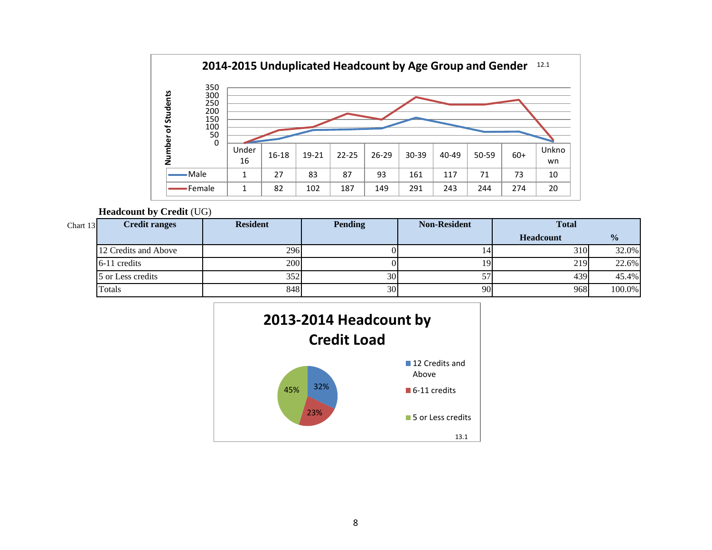

### **Headcount by Credit** (UG)

| Chart $13$ | <b>Credit ranges</b> | <b>Resident</b> | <b>Pending</b> | <b>Non-Resident</b> | <b>Total</b>     |               |
|------------|----------------------|-----------------|----------------|---------------------|------------------|---------------|
|            |                      |                 |                |                     | <b>Headcount</b> | $\frac{1}{2}$ |
|            | 12 Credits and Above | 296             |                |                     | 310 <sup>I</sup> | 32.0%         |
|            | 6-11 credits         | 200             |                |                     | 219              | 22.6%         |
|            | 5 or Less credits    | 352             | 30             | 57                  | 439              | 45.4%         |
|            | Totals               | 848             | 30             | 90                  | 968              | 100.0%        |

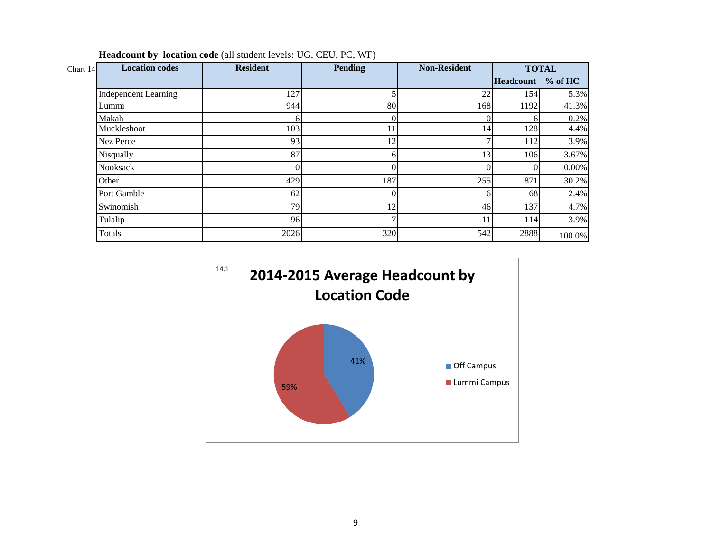| Chart 14 | <b>Location codes</b>       | <b>Resident</b> | <b>Pending</b> | <b>Non-Resident</b> |                   | <b>TOTAL</b> |
|----------|-----------------------------|-----------------|----------------|---------------------|-------------------|--------------|
|          |                             |                 |                |                     | Headcount % of HC |              |
|          | <b>Independent Learning</b> | 127             |                | 22                  | 154               | 5.3%         |
|          | Lummi                       | 944             | 80             | 168                 | 1192              | 41.3%        |
|          | Makah                       |                 |                | ∩                   |                   | 0.2%         |
|          | Muckleshoot                 | 103             | 11             | 14                  | 128               | 4.4%         |
|          | Nez Perce                   | 93              | 12             |                     | 112               | 3.9%         |
|          | Nisqually                   | 87              |                | 13                  | 106               | 3.67%        |
|          | <b>Nooksack</b>             |                 |                |                     | $\Omega$          | $0.00\%$     |
|          | Other                       | 429             | 187            | 255                 | 871               | 30.2%        |
|          | Port Gamble                 | 62              |                | h                   | 68                | 2.4%         |
|          | Swinomish                   | 79              | 12             | 46                  | 137               | 4.7%         |
|          | Tulalip                     | 96              |                | 11                  | 114               | 3.9%         |
|          | Totals                      | 2026            | 320            | 542                 | 2888              | 100.0%       |

**Headcount by location code** (all student levels: UG, CEU, PC, WF)

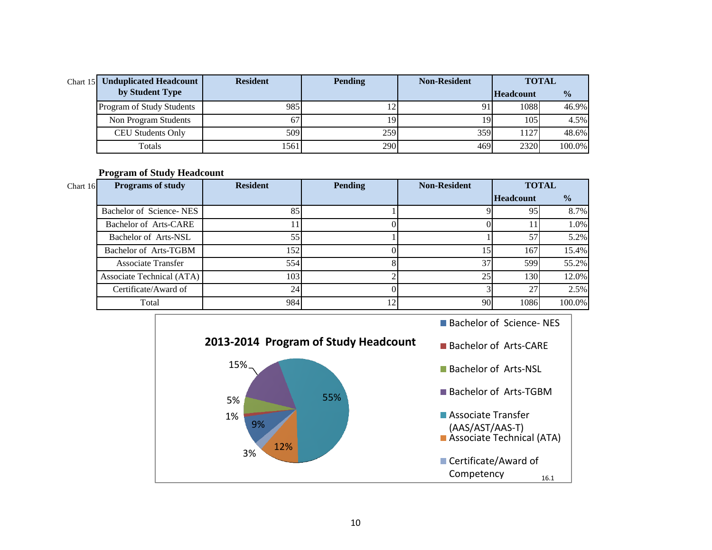| Chart $15$ | <b>Unduplicated Headcount</b> | <b>Resident</b> | <b>Pending</b> | <b>Non-Resident</b> | <b>TOTAL</b>     |               |  |
|------------|-------------------------------|-----------------|----------------|---------------------|------------------|---------------|--|
|            | by Student Type               |                 |                |                     | <b>Headcount</b> | $\frac{0}{0}$ |  |
|            | Program of Study Students     | 985             |                |                     | 1088             | $46.9\%$      |  |
|            | Non Program Students          | 67              | 19             | 19                  | 105              | 4.5%          |  |
|            | <b>CEU Students Only</b>      | 509             | 259            | 359                 | 1127             | 48.6%         |  |
|            | Totals                        | 1561            | 290            | 469                 | 2320             | 100.0%        |  |

**Program of Study Headcount** 

| Chart 16 | <b>Programs of study</b>  | <b>Resident</b> | <b>Pending</b> | <b>Non-Resident</b> | <b>TOTAL</b>     |               |
|----------|---------------------------|-----------------|----------------|---------------------|------------------|---------------|
|          |                           |                 |                |                     | <b>Headcount</b> | $\frac{0}{0}$ |
|          | Bachelor of Science-NES   | 85              |                |                     | 95               | 8.7%          |
|          | Bachelor of Arts-CARE     |                 |                |                     |                  | 1.0%          |
|          | Bachelor of Arts-NSL      | 55              |                |                     | 57               | 5.2%          |
|          | Bachelor of Arts-TGBM     | 152             |                | .5                  | 167              | 15.4%         |
|          | <b>Associate Transfer</b> | 554             |                | 37                  | 599              | 55.2%         |
|          | Associate Technical (ATA) | 103             |                | 25                  | 130              | 12.0%         |
|          | Certificate/Award of      | 24 <sub>1</sub> |                |                     | 27               | 2.5%          |
|          | Total                     | 984             | 12             | 90                  | 1086             | 100.0%        |